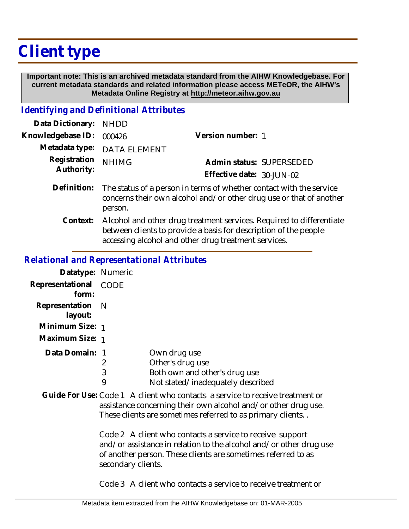## **Client type**

 **Important note: This is an archived metadata standard from the AIHW Knowledgebase. For current metadata standards and related information please access METeOR, the AIHW's Metadata Online Registry at http://meteor.aihw.gov.au**

## *Identifying and Definitional Attributes*

| Data Dictionary:           | <b>NHDD</b>                                                                                                                                           |                           |                          |
|----------------------------|-------------------------------------------------------------------------------------------------------------------------------------------------------|---------------------------|--------------------------|
| Knowledgebase ID:          | 000426                                                                                                                                                | Version number: 1         |                          |
| Metadata type:             | <b>DATA ELEMENT</b>                                                                                                                                   |                           |                          |
| Registration<br>Authority: | <b>NHIMG</b>                                                                                                                                          | Effective date: 30-JUN-02 | Admin status: SUPERSEDED |
| Definition:                | The status of a person in terms of whether contact with the service<br>concerns their own alcohol and/or other drug use or that of another<br>person. |                           |                          |
| Context:                   | Alcohol and other drug treatment services. Required to differentiate<br>between clients to provide a basis for description of the people              |                           |                          |

accessing alcohol and other drug treatment services.

## *Relational and Representational Attributes*

| Datatype: Numeric           |      |                                   |
|-----------------------------|------|-----------------------------------|
| Representational<br>form:   | CODE |                                   |
| Representation N<br>layout: |      |                                   |
| Minimum Size: 1             |      |                                   |
| Maximum Size: 1             |      |                                   |
| Data Domain: 1              |      | Own drug use                      |
|                             | 2    | Other's drug use                  |
|                             | 3    | Both own and other's drug use     |
|                             | 9    | Not stated/inadequately described |

Guide For Use: Code 1 A client who contacts a service to receive treatment or assistance concerning their own alcohol and/or other drug use. These clients are sometimes referred to as primary clients. .

> Code 2 A client who contacts a service to receive support and/or assistance in relation to the alcohol and/or other drug use of another person. These clients are sometimes referred to as secondary clients.

Code 3 A client who contacts a service to receive treatment or